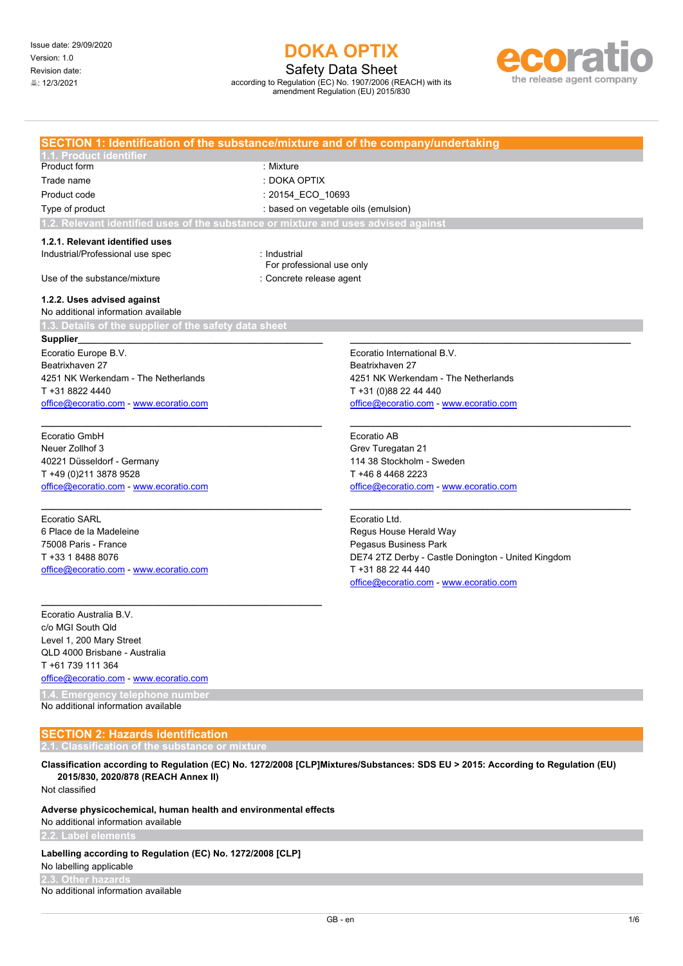Safety Data Sheet

according to Regulation (EC) No. 1907/2006 (REACH) with its amendment Regulation (EU) 2015/830



|                                                                                    | SECTION 1: Identification of the substance/mixture and of the company/undertaking |
|------------------------------------------------------------------------------------|-----------------------------------------------------------------------------------|
| .1. Product identifier                                                             |                                                                                   |
| <b>Product form</b>                                                                | : Mixture                                                                         |
| Trade name                                                                         | : DOKA OPTIX                                                                      |
| Product code                                                                       | : 20154 ECO 10693                                                                 |
| Type of product                                                                    | : based on vegetable oils (emulsion)                                              |
| 1.2. Relevant identified uses of the substance or mixture and uses advised against |                                                                                   |
| 1.2.1. Relevant identified uses                                                    |                                                                                   |
| Industrial/Professional use spec                                                   | : Industrial<br>For professional use only                                         |
| Use of the substance/mixture                                                       | : Concrete release agent                                                          |
| 1.2.2. Uses advised against                                                        |                                                                                   |
| No additional information available                                                |                                                                                   |
| 1.3. Details of the supplier of the safety data sheet                              |                                                                                   |
| Supplier_                                                                          |                                                                                   |
| Ecoratio Europe B.V.                                                               | Ecoratio International B.V.                                                       |
| Beatrixhaven 27                                                                    | Beatrixhaven 27                                                                   |
| 4251 NK Werkendam - The Netherlands                                                | 4251 NK Werkendam - The Netherlands                                               |
| T +31 8822 4440                                                                    | T +31 (0)88 22 44 440                                                             |
| office@ecoratio.com - www.ecoratio.com                                             | office@ecoratio.com - www.ecoratio.com                                            |
|                                                                                    |                                                                                   |
| Ecoratio GmbH                                                                      | Ecoratio AB                                                                       |
| Neuer Zollhof 3                                                                    | Grev Turegatan 21                                                                 |
| 40221 Düsseldorf - Germany                                                         | 114 38 Stockholm - Sweden                                                         |
| T +49 (0)211 3878 9528                                                             | T +46 8 4468 2223                                                                 |
| office@ecoratio.com - www.ecoratio.com                                             | office@ecoratio.com - www.ecoratio.com                                            |
|                                                                                    |                                                                                   |
| <b>Ecoratio SARL</b>                                                               | Ecoratio Ltd.                                                                     |
| 6 Place de la Madeleine                                                            | Regus House Herald Way                                                            |
| 75008 Paris - France                                                               | Pegasus Business Park                                                             |
| T +33 1 8488 8076                                                                  | DE74 2TZ Derby - Castle Donington - United Kingdom                                |
| office@ecoratio.com - www.ecoratio.com                                             | T +31 88 22 44 440                                                                |
|                                                                                    | office@ecoratio.com - www.ecoratio.com                                            |
|                                                                                    |                                                                                   |
| Ecoratio Australia B.V.                                                            |                                                                                   |
| c/o MGI South Qld                                                                  |                                                                                   |
| Level 1, 200 Mary Street                                                           |                                                                                   |
| QLD 4000 Brisbane - Australia                                                      |                                                                                   |
| T +61 739 111 364                                                                  |                                                                                   |
| office@ecoratio.com - www.ecoratio.com                                             |                                                                                   |
| <b>Emergency telephone number</b>                                                  |                                                                                   |

No additional information available

## **SECTION 2: Hazards identification**

**Classification according to Regulation (EC) No. 1272/2008 [CLP]Mixtures/Substances: SDS EU > 2015: According to Regulation (EU) 2015/830, 2020/878 (REACH Annex II)**

Not classified

### **Adverse physicochemical, human health and environmental effects**

No additional information available

#### Labelling according to Regulation (EC) No. 1272/2008 [CLP]

No labelling applicable

**2.3. Other hazards**

No additional information available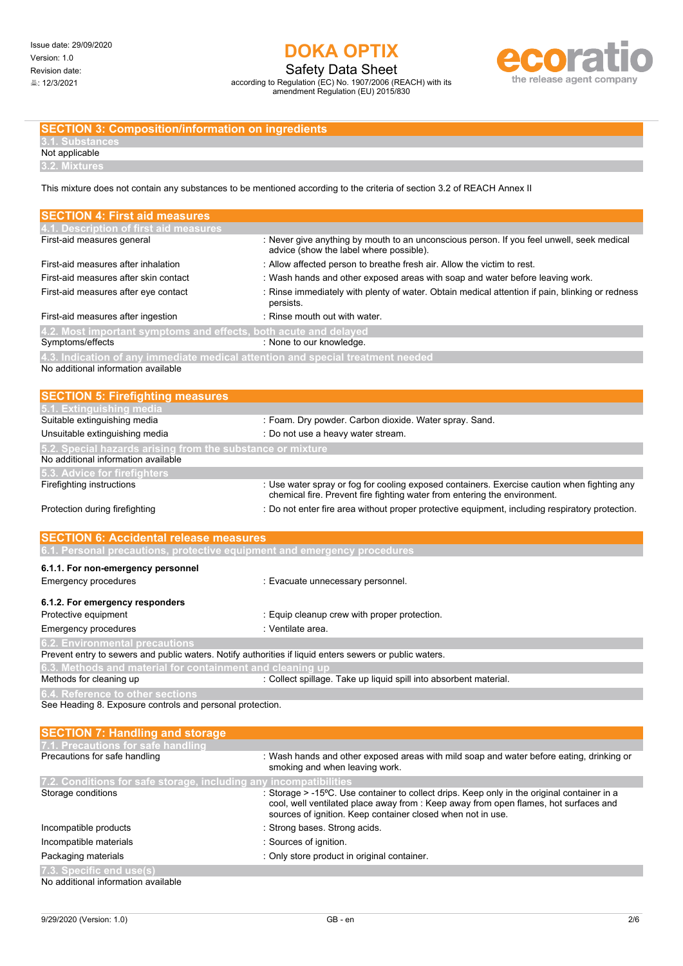Safety Data Sheet according to Regulation (EC) No. 1907/2006 (REACH) with its

amendment Regulation (EU) 2015/830



### **SECTION 3: Composition/information on ingredients**

Not applicable **3.2. Mixture** 

This mixture does not contain any substances to be mentioned according to the criteria of section 3.2 of REACH Annex II

| <b>SECTION 4: First aid measures</b>                                                                                   |                                                                                                                                                                                                                                                    |
|------------------------------------------------------------------------------------------------------------------------|----------------------------------------------------------------------------------------------------------------------------------------------------------------------------------------------------------------------------------------------------|
| 4.1. Description of first aid measures                                                                                 |                                                                                                                                                                                                                                                    |
| First-aid measures general                                                                                             | : Never give anything by mouth to an unconscious person. If you feel unwell, seek medical<br>advice (show the label where possible).                                                                                                               |
| First-aid measures after inhalation                                                                                    | : Allow affected person to breathe fresh air. Allow the victim to rest.                                                                                                                                                                            |
| First-aid measures after skin contact                                                                                  | : Wash hands and other exposed areas with soap and water before leaving work.                                                                                                                                                                      |
| First-aid measures after eye contact                                                                                   | : Rinse immediately with plenty of water. Obtain medical attention if pain, blinking or redness<br>persists.                                                                                                                                       |
| First-aid measures after ingestion                                                                                     | : Rinse mouth out with water.                                                                                                                                                                                                                      |
| 4.2. Most important symptoms and effects, both acute and delayed                                                       |                                                                                                                                                                                                                                                    |
| Symptoms/effects                                                                                                       | : None to our knowledge.                                                                                                                                                                                                                           |
| 4.3. Indication of any immediate medical attention and special treatment needed<br>No additional information available |                                                                                                                                                                                                                                                    |
| <b>SECTION 5: Firefighting measures</b><br>5.1. Extinguishing media                                                    |                                                                                                                                                                                                                                                    |
| Suitable extinguishing media                                                                                           | : Foam. Dry powder. Carbon dioxide. Water spray. Sand.                                                                                                                                                                                             |
| Unsuitable extinguishing media                                                                                         | : Do not use a heavy water stream.                                                                                                                                                                                                                 |
| 5.2. Special hazards arising from the substance or mixture                                                             |                                                                                                                                                                                                                                                    |
| No additional information available                                                                                    |                                                                                                                                                                                                                                                    |
| 5.3. Advice for firefighters                                                                                           |                                                                                                                                                                                                                                                    |
| Firefighting instructions                                                                                              | : Use water spray or fog for cooling exposed containers. Exercise caution when fighting any<br>chemical fire. Prevent fire fighting water from entering the environment.                                                                           |
| Protection during firefighting                                                                                         | : Do not enter fire area without proper protective equipment, including respiratory protection.                                                                                                                                                    |
| <b>SECTION 6: Accidental release measures</b>                                                                          |                                                                                                                                                                                                                                                    |
| 6.1. Personal precautions, protective equipment and emergency procedures                                               |                                                                                                                                                                                                                                                    |
| 6.1.1. For non-emergency personnel                                                                                     |                                                                                                                                                                                                                                                    |
| <b>Emergency procedures</b>                                                                                            | : Evacuate unnecessary personnel.                                                                                                                                                                                                                  |
|                                                                                                                        |                                                                                                                                                                                                                                                    |
| 6.1.2. For emergency responders                                                                                        |                                                                                                                                                                                                                                                    |
| Protective equipment                                                                                                   | : Equip cleanup crew with proper protection.                                                                                                                                                                                                       |
| <b>Emergency procedures</b>                                                                                            | : Ventilate area.                                                                                                                                                                                                                                  |
| <b>6.2. Environmental precautions</b>                                                                                  |                                                                                                                                                                                                                                                    |
| Prevent entry to sewers and public waters. Notify authorities if liquid enters sewers or public waters.                |                                                                                                                                                                                                                                                    |
| 6.3. Methods and material for containment and cleaning up<br>Methods for cleaning up                                   |                                                                                                                                                                                                                                                    |
|                                                                                                                        | : Collect spillage. Take up liquid spill into absorbent material.                                                                                                                                                                                  |
| 6.4. Reference to other sections<br>See Heading 8. Exposure controls and personal protection.                          |                                                                                                                                                                                                                                                    |
|                                                                                                                        |                                                                                                                                                                                                                                                    |
| <b>SECTION 7: Handling and storage</b>                                                                                 |                                                                                                                                                                                                                                                    |
| 7.1. Precautions for safe handling<br>Precautions for safe handling                                                    | : Wash hands and other exposed areas with mild soap and water before eating, drinking or                                                                                                                                                           |
|                                                                                                                        | smoking and when leaving work.                                                                                                                                                                                                                     |
| 7.2. Conditions for safe storage, including any incompatibilities<br>Storage conditions                                | : Storage > -15°C. Use container to collect drips. Keep only in the original container in a<br>cool, well ventilated place away from : Keep away from open flames, hot surfaces and<br>sources of ignition. Keep container closed when not in use. |
| Incompatible products                                                                                                  | : Strong bases. Strong acids.                                                                                                                                                                                                                      |
| Incompatible materials                                                                                                 | : Sources of ignition.                                                                                                                                                                                                                             |
| Packaging materials                                                                                                    | : Only store product in original container.                                                                                                                                                                                                        |
| 7.3. Specific end use(s)                                                                                               |                                                                                                                                                                                                                                                    |
| No additional information available                                                                                    |                                                                                                                                                                                                                                                    |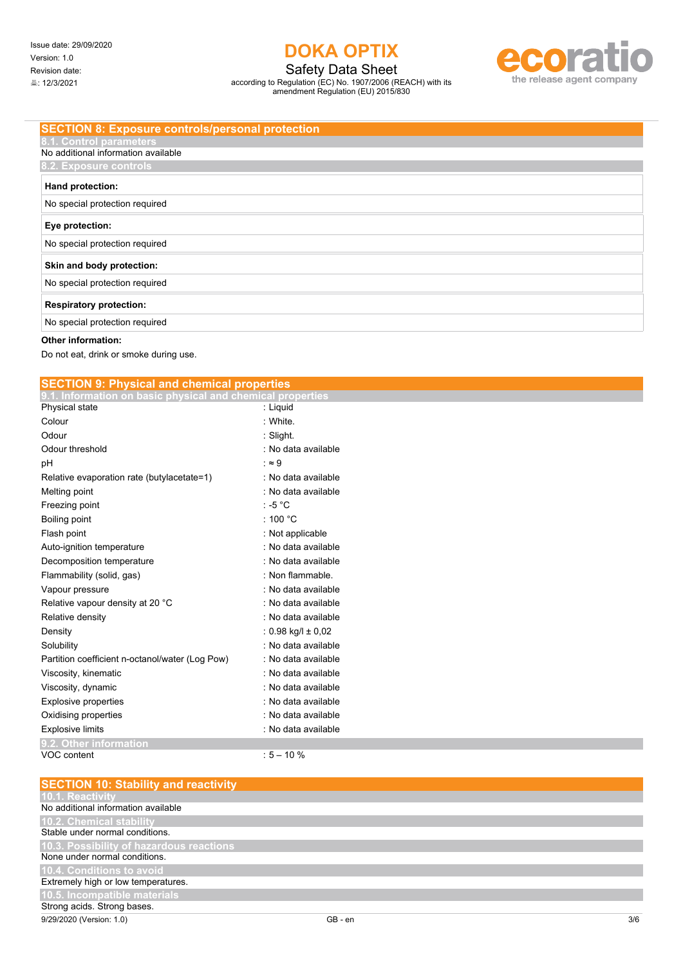Safety Data Sheet

according to Regulation (EC) No. 1907/2006 (REACH) with its amendment Regulation (EU) 2015/830



### **SECTION 8: Exposure controls/personal protection**

## No additional information available **8.2. Exposure controls Hand protection:**

 $\vert$  No special protection required

| 110 opocial protoction roquired |
|---------------------------------|
| Eye protection:                 |
| No special protection required  |
| Skin and body protection:       |
| No special protection required  |
| <b>Respiratory protection:</b>  |
| No special protection required  |

### **Other information:**

Do not eat, drink or smoke during use.

| <b>SECTION 9: Physical and chemical properties</b>         |                          |
|------------------------------------------------------------|--------------------------|
| 9.1. Information on basic physical and chemical properties |                          |
| Physical state                                             | : Liquid                 |
| Colour                                                     | : White                  |
| Odour                                                      | : Slight                 |
| Odour threshold                                            | : No data available      |
| pH                                                         | $\cdot \approx 9$        |
| Relative evaporation rate (butylacetate=1)                 | : No data available      |
| Melting point                                              | : No data available      |
| Freezing point                                             | $: -5 °C$                |
| Boiling point                                              | : 100 $^{\circ}$ C       |
| Flash point                                                | : Not applicable         |
| Auto-ignition temperature                                  | : No data available      |
| Decomposition temperature                                  | : No data available      |
| Flammability (solid, gas)                                  | : Non flammable.         |
| Vapour pressure                                            | : No data available      |
| Relative vapour density at 20 °C                           | : No data available      |
| Relative density                                           | : No data available      |
| Density                                                    | : $0.98$ kg/l $\pm$ 0,02 |
| Solubility                                                 | : No data available      |
| Partition coefficient n-octanol/water (Log Pow)            | : No data available      |
| Viscosity, kinematic                                       | : No data available      |
| Viscosity, dynamic                                         | : No data available      |
| Explosive properties                                       | : No data available      |
| Oxidising properties                                       | : No data available      |
| <b>Explosive limits</b>                                    | : No data available      |
| 9.2. Other information                                     |                          |
| VOC content                                                | $:5 - 10%$               |
|                                                            |                          |
| <b>SECTION 10: Stability and reactivity</b>                |                          |

| GB - en | 3/6 |
|---------|-----|
|         |     |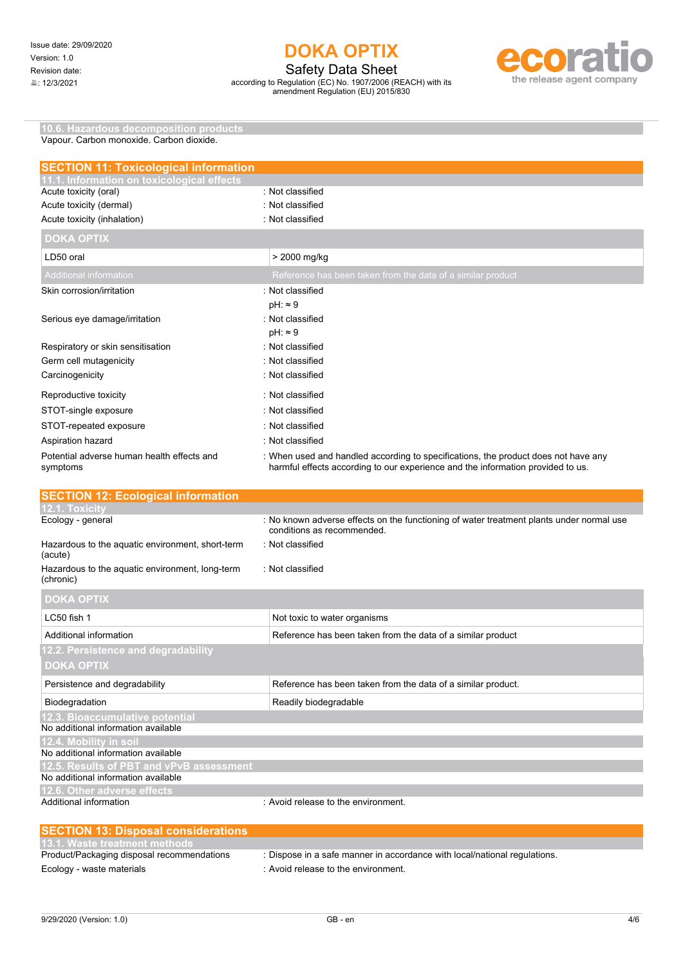Safety Data Sheet

according to Regulation (EC) No. 1907/2006 (REACH) with its amendment Regulation (EU) 2015/830



**10.6. Hazardous decomposition products** Vapour. Carbon monoxide. Carbon dioxide.

| <b>SECTION 11: Toxicological information</b>           |                                                                                                                                                                       |
|--------------------------------------------------------|-----------------------------------------------------------------------------------------------------------------------------------------------------------------------|
| 11.1. Information on toxicological effects             |                                                                                                                                                                       |
| Acute toxicity (oral)                                  | : Not classified                                                                                                                                                      |
| Acute toxicity (dermal)                                | : Not classified                                                                                                                                                      |
| Acute toxicity (inhalation)                            | : Not classified                                                                                                                                                      |
| <b>DOKA OPTIX</b>                                      |                                                                                                                                                                       |
| LD50 oral                                              | > 2000 mg/kg                                                                                                                                                          |
| <b>Additional information</b>                          | Reference has been taken from the data of a similar product                                                                                                           |
| Skin corrosion/irritation                              | · Not classified                                                                                                                                                      |
|                                                        | $pH: \approx 9$                                                                                                                                                       |
| Serious eye damage/irritation                          | : Not classified                                                                                                                                                      |
|                                                        | $pH: \approx 9$                                                                                                                                                       |
| Respiratory or skin sensitisation                      | : Not classified                                                                                                                                                      |
| Germ cell mutagenicity                                 | : Not classified                                                                                                                                                      |
| Carcinogenicity                                        | : Not classified                                                                                                                                                      |
| Reproductive toxicity                                  | : Not classified                                                                                                                                                      |
| STOT-single exposure                                   | : Not classified                                                                                                                                                      |
| STOT-repeated exposure                                 | : Not classified                                                                                                                                                      |
| Aspiration hazard                                      | : Not classified                                                                                                                                                      |
| Potential adverse human health effects and<br>symptoms | : When used and handled according to specifications, the product does not have any<br>harmful effects according to our experience and the information provided to us. |
| <b>SECTION 12: Ecological information</b>              |                                                                                                                                                                       |
| 12.1. Toxicitv                                         |                                                                                                                                                                       |
| Ecology - general                                      | : No known adverse effects on the functioning of water treatment plants under normal use                                                                              |

| Loorogy gorroran                                             | to mionii aavoibo onoolo on tho randtioning or nator troatmont pianto anaor nomiar abo<br>conditions as recommended. |
|--------------------------------------------------------------|----------------------------------------------------------------------------------------------------------------------|
| Hazardous to the aquatic environment, short-term<br>(acute)  | : Not classified                                                                                                     |
| Hazardous to the aquatic environment, long-term<br>(chronic) | Not classified                                                                                                       |
| <b>DOKA OPTIX</b>                                            |                                                                                                                      |
| LC50 fish 1                                                  | Not toxic to water organisms                                                                                         |
| Additional information                                       | Reference has been taken from the data of a similar product                                                          |
| 12.2. Persistence and degradability                          |                                                                                                                      |
| <b>DOKA OPTIX</b>                                            |                                                                                                                      |
| Persistence and degradability                                | Reference has been taken from the data of a similar product.                                                         |
| Biodegradation                                               | Readily biodegradable                                                                                                |
| 12.3. Bioaccumulative potential                              |                                                                                                                      |
| No additional information available                          |                                                                                                                      |
| 12.4. Mobility in soil                                       |                                                                                                                      |
| No additional information available                          |                                                                                                                      |
| 12.5. Results of PBT and vPvB assessment                     |                                                                                                                      |
| No additional information available                          |                                                                                                                      |
| 12.6. Other adverse effects                                  |                                                                                                                      |
| Additional information                                       | : Avoid release to the environment.                                                                                  |

| <b>SECTION 13: Disposal considerations</b> |                                                                           |
|--------------------------------------------|---------------------------------------------------------------------------|
| 13.1. Waste treatment methods              |                                                                           |
| Product/Packaging disposal recommendations | : Dispose in a safe manner in accordance with local/national regulations. |
| Ecology - waste materials                  | : Avoid release to the environment.                                       |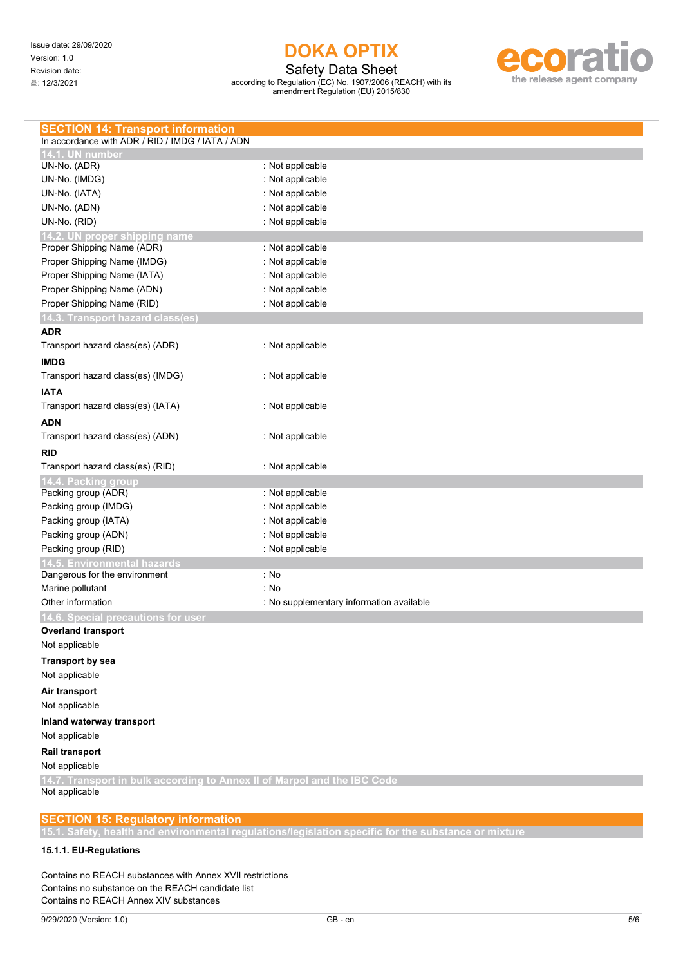Safety Data Sheet

according to Regulation (EC) No. 1907/2006 (REACH) with its amendment Regulation (EU) 2015/830



## **SECTION 15: Regulatory information**

**15.1. Safety, health and environmental regulations/legislation specific for the substance or mixture**

### **15.1.1. EU-Regulations**

Contains no REACH substances with Annex XVII restrictions Contains no substance on the REACH candidate list Contains no REACH Annex XIV substances